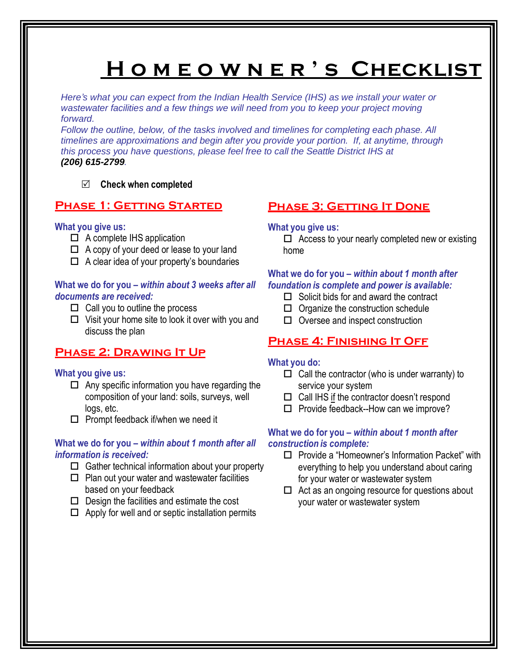# **H o m e o w n e r ' s Checklist**

*Here's what you can expect from the Indian Health Service (IHS) as we install your water or wastewater facilities and a few things we will need from you to keep your project moving forward.*

*Follow the outline, below, of the tasks involved and timelines for completing each phase. All timelines are approximations and begin after you provide your portion. If, at anytime, through this process you have questions, please feel free to call the Seattle District IHS at (206) 615-2799.*

## **Check when completed**

## **Phase 1: Getting Started**

## **What you give us:**

- $\Box$  A complete IHS application
- $\Box$  A copy of your deed or lease to your land
- $\Box$  A clear idea of your property's boundaries

## **What we do for you –** *within about 3 weeks after all documents are received:*

- $\Box$  Call you to outline the process
- $\Box$  Visit your home site to look it over with you and discuss the plan

## **Phase 2: Drawing It Up**

## **What you give us:**

- $\Box$  Any specific information you have regarding the composition of your land: soils, surveys, well logs, etc.
- $\square$  Prompt feedback if/when we need it

## **What we do for you –** *within about 1 month after all information is received:*

- $\Box$  Gather technical information about your property
- $\Box$  Plan out your water and wastewater facilities based on your feedback
- $\square$  Design the facilities and estimate the cost
- $\Box$  Apply for well and or septic installation permits

## **Phase 3: Getting It Done**

## **What you give us:**

 $\Box$  Access to your nearly completed new or existing home

## **What we do for you –** *within about 1 month after foundation is complete and power is available:*

- $\Box$  Solicit bids for and award the contract
- $\Box$  Organize the construction schedule
- $\Box$  Oversee and inspect construction

## **Phase 4: Finishing It Off**

## **What you do:**

- $\Box$  Call the contractor (who is under warranty) to service your system
- $\Box$  Call IHS if the contractor doesn't respond
- $\Box$  Provide feedback--How can we improve?

## **What we do for you** *– within about 1 month after construction is complete:*

- $\square$  Provide a "Homeowner's Information Packet" with everything to help you understand about caring for your water or wastewater system
- $\Box$  Act as an ongoing resource for questions about your water or wastewater system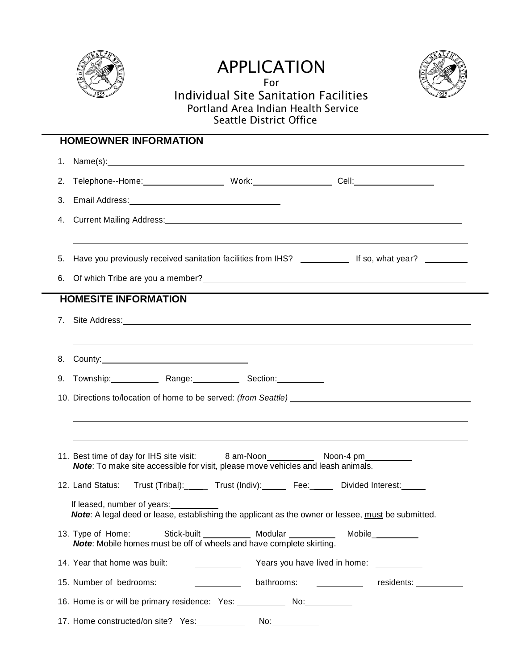

## APPLICATION For



## Individual Site Sanitation Facilities Portland Area Indian Health Service Seattle District Office

| <b>HOMEOWNER INFORMATION</b> |                                                                                                                                                                                                                               |                    |                                                                                  |  |  |  |  |
|------------------------------|-------------------------------------------------------------------------------------------------------------------------------------------------------------------------------------------------------------------------------|--------------------|----------------------------------------------------------------------------------|--|--|--|--|
| 1.                           |                                                                                                                                                                                                                               |                    |                                                                                  |  |  |  |  |
| 2.                           |                                                                                                                                                                                                                               |                    |                                                                                  |  |  |  |  |
| 3.                           |                                                                                                                                                                                                                               |                    |                                                                                  |  |  |  |  |
| 4.                           | Current Mailing Address: No. 2006. The Contract of the Current Mailing Address: No. 2007. The Contract of the Contract of the Contract of the Contract of the Contract of the Contract of the Contract of the Contract of the |                    |                                                                                  |  |  |  |  |
|                              |                                                                                                                                                                                                                               |                    |                                                                                  |  |  |  |  |
| 5.                           | Have you previously received sanitation facilities from IHS? _______________ If so, what year? ___________                                                                                                                    |                    |                                                                                  |  |  |  |  |
| 6.                           | Of which Tribe are you a member?<br><u>Discussed by an architecture</u> and the set of which Tribe are you a member?                                                                                                          |                    |                                                                                  |  |  |  |  |
|                              | <b>HOMESITE INFORMATION</b>                                                                                                                                                                                                   |                    | ,我们也不会有什么。""我们的人,我们也不会有什么?""我们的人,我们也不会有什么?""我们的人,我们也不会有什么?""我们的人,我们也不会有什么?""我们的人 |  |  |  |  |
|                              |                                                                                                                                                                                                                               |                    |                                                                                  |  |  |  |  |
|                              |                                                                                                                                                                                                                               |                    |                                                                                  |  |  |  |  |
| 8.                           |                                                                                                                                                                                                                               |                    |                                                                                  |  |  |  |  |
| 9.                           | Township: Range: Section: Newsletter Section:                                                                                                                                                                                 |                    |                                                                                  |  |  |  |  |
|                              |                                                                                                                                                                                                                               |                    |                                                                                  |  |  |  |  |
|                              |                                                                                                                                                                                                                               |                    | ,我们也不会有什么。""我们的人,我们也不会有什么?""我们的人,我们也不会有什么?""我们的人,我们也不会有什么?""我们的人,我们也不会有什么?""我们的人 |  |  |  |  |
|                              |                                                                                                                                                                                                                               |                    | ,我们也不会有什么?""我们的人,我们也不会有什么?""我们的人,我们也不会有什么?""我们的人,我们也不会有什么?""我们的人,我们也不会有什么?""我们的人 |  |  |  |  |
|                              | Note: To make site accessible for visit, please move vehicles and leash animals.                                                                                                                                              |                    |                                                                                  |  |  |  |  |
|                              | 12. Land Status:                                                                                                                                                                                                              |                    | Trust (Tribal): ______ Trust (Indiv): ______ Fee: ______ Divided Interest: _____ |  |  |  |  |
|                              |                                                                                                                                                                                                                               |                    |                                                                                  |  |  |  |  |
|                              | If leased, number of years:<br><b>Note</b> : A legal deed or lease, establishing the applicant as the owner or lessee, must be submitted.                                                                                     |                    |                                                                                  |  |  |  |  |
|                              | 13. Type of Home:<br>Note: Mobile homes must be off of wheels and have complete skirting.                                                                                                                                     |                    | Mobile__________                                                                 |  |  |  |  |
|                              | 14. Year that home was built:<br>$\overline{\phantom{a}}$                                                                                                                                                                     |                    | Years you have lived in home: ___________                                        |  |  |  |  |
|                              | 15. Number of bedrooms:                                                                                                                                                                                                       | bathrooms:         | residents: ___________                                                           |  |  |  |  |
|                              | 16. Home is or will be primary residence: Yes: ______________ No: No:                                                                                                                                                         |                    |                                                                                  |  |  |  |  |
|                              | 17. Home constructed/on site? Yes: __________                                                                                                                                                                                 | No:_______________ |                                                                                  |  |  |  |  |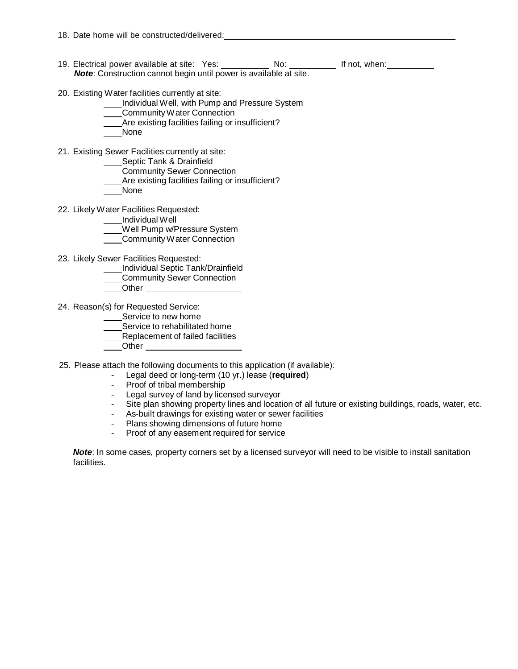- 19. Electrical power available at site: Yes: No: No: If not, when: *Note*: Construction cannot begin until power is available at site.
- 20. Existing Water facilities currently at site:
	- Individual Well, with Pump and Pressure System
	- CommunityWater Connection
	- Are existing facilities failing or insufficient?
	- None
- 21. Existing Sewer Facilities currently at site:
	- Septic Tank & Drainfield
	- Community Sewer Connection
	- Are existing facilities failing or insufficient?
	- None
- 22. Likely Water Facilities Requested:
	- Individual Well
	- Well Pump w/Pressure System
	- CommunityWater Connection
- 23. Likely Sewer Facilities Requested:
	- Individual Septic Tank/Drainfield
	- Community Sewer Connection
	- **Other**
- 24. Reason(s) for Requested Service:
	- Service to new home
	- Service to rehabilitated home
	- Replacement of failed facilities
	- Other
- 25. Please attach the following documents to this application (if available):
	- Legal deed or long-term (10 yr.) lease (**required**)
	- Proof of tribal membership
	- Legal survey of land by licensed surveyor
	- Site plan showing property lines and location of all future or existing buildings, roads, water, etc.
	- As-built drawings for existing water or sewer facilities
	- Plans showing dimensions of future home
	- Proof of any easement required for service

*Note*: In some cases, property corners set by a licensed surveyor will need to be visible to install sanitation facilities.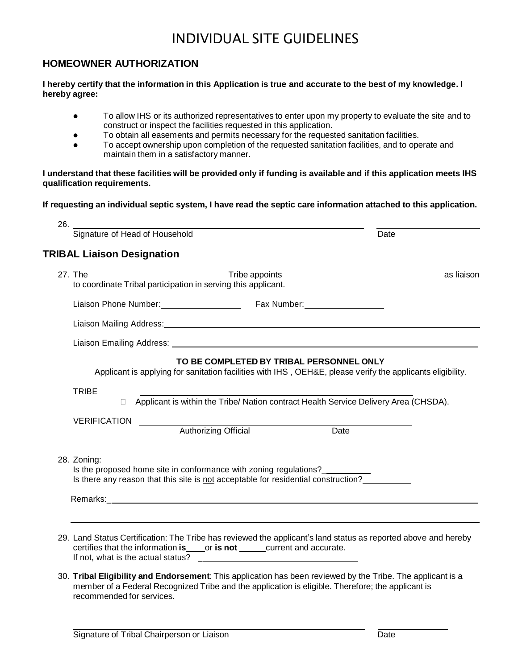## INDIVIDUAL SITE GUIDELINES

## **HOMEOWNER AUTHORIZATION**

#### I hereby certify that the information in this Application is true and accurate to the best of my knowledge. I **hereby agree:**

- To allow IHS or its authorized representatives to enter upon my property to evaluate the site and to construct or inspect the facilities requested in this application.
- To obtain all easements and permits necessary for the requested sanitation facilities.
- To accept ownership upon completion of the requested sanitation facilities, and to operate and maintain them in a satisfactory manner.

### I understand that these facilities will be provided only if funding is available and if this application meets IHS **qualification requirements.**

### If requesting an individual septic system, I have read the septic care information attached to this application.

|                       | Liaison Phone Number: Fax Number: Fax Number:                                                                                                           |      |  |
|-----------------------|---------------------------------------------------------------------------------------------------------------------------------------------------------|------|--|
|                       | Liaison Mailing Address: Letter and Contract and Contract and Contract and Contract and Contract and Contract and                                       |      |  |
|                       |                                                                                                                                                         |      |  |
|                       | Applicant is applying for sanitation facilities with IHS, OEH&E, please verify the applicants eligibility.                                              |      |  |
| <b>TRIBE</b>          | □ Applicant is within the Tribe/ Nation contract Health Service Delivery Area (CHSDA).                                                                  |      |  |
| VERIFICATION ________ | Authorizing Official                                                                                                                                    | Date |  |
| 28. Zoning:           | Is the proposed home site in conformance with zoning regulations?<br>Is there any reason that this site is not acceptable for residential construction? |      |  |

30. **Tribal Eligibility and Endorsement**: This application has been reviewed by the Tribe. The applicant is a member of a Federal Recognized Tribe and the application is eligible. Therefore; the applicant is recommended for services.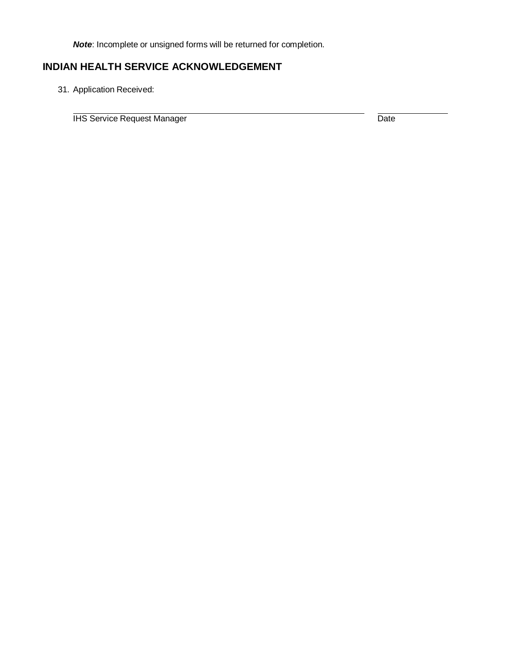*Note*: Incomplete or unsigned forms will be returned for completion.

## **INDIAN HEALTH SERVICE ACKNOWLEDGEMENT**

31. Application Received:

**IHS Service Request Manager Date Constrainer Construction Construction Construction Construction Date**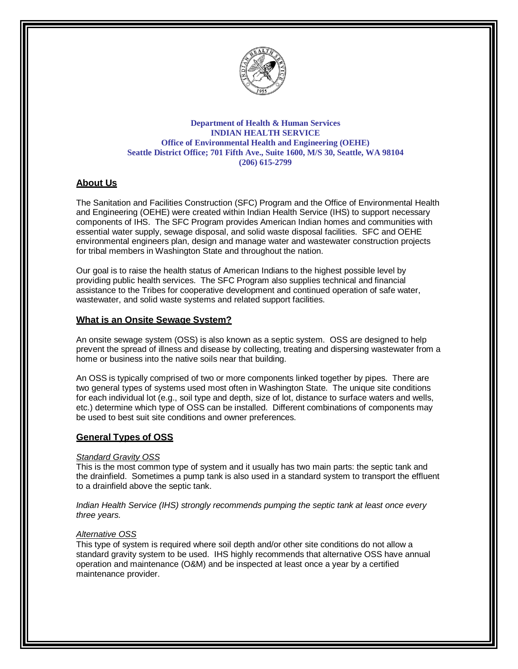

#### **Department of Health & Human Services INDIAN HEALTH SERVICE Office of Environmental Health and Engineering (OEHE) Seattle District Office; 701 Fifth Ave., Suite 1600, M/S 30, Seattle, WA 98104 (206) 615-2799**

## **About Us**

The Sanitation and Facilities Construction (SFC) Program and the Office of Environmental Health and Engineering (OEHE) were created within Indian Health Service (IHS) to support necessary components of IHS. The SFC Program provides American Indian homes and communities with essential water supply, sewage disposal, and solid waste disposal facilities. SFC and OEHE environmental engineers plan, design and manage water and wastewater construction projects for tribal members in Washington State and throughout the nation.

Our goal is to raise the health status of American Indians to the highest possible level by providing public health services. The SFC Program also supplies technical and financial assistance to the Tribes for cooperative development and continued operation of safe water, wastewater, and solid waste systems and related support facilities.

## **What is an Onsite Sewage System?**

An onsite sewage system (OSS) is also known as a septic system. OSS are designed to help prevent the spread of illness and disease by collecting, treating and dispersing wastewater from a home or business into the native soils near that building.

An OSS is typically comprised of two or more components linked together by pipes. There are two general types of systems used most often in Washington State. The unique site conditions for each individual lot (e.g., soil type and depth, size of lot, distance to surface waters and wells, etc.) determine which type of OSS can be installed. Different combinations of components may be used to best suit site conditions and owner preferences.

### **General Types of OSS**

#### *Standard Gravity OSS*

This is the most common type of system and it usually has two main parts: the septic tank and the drainfield. Sometimes a pump tank is also used in a standard system to transport the effluent to a drainfield above the septic tank.

*Indian Health Service (IHS) strongly recommends pumping the septic tank at least once every three years.*

#### *Alternative OSS*

This type of system is required where soil depth and/or other site conditions do not allow a standard gravity system to be used. IHS highly recommends that alternative OSS have annual operation and maintenance (O&M) and be inspected at least once a year by a certified maintenance provider.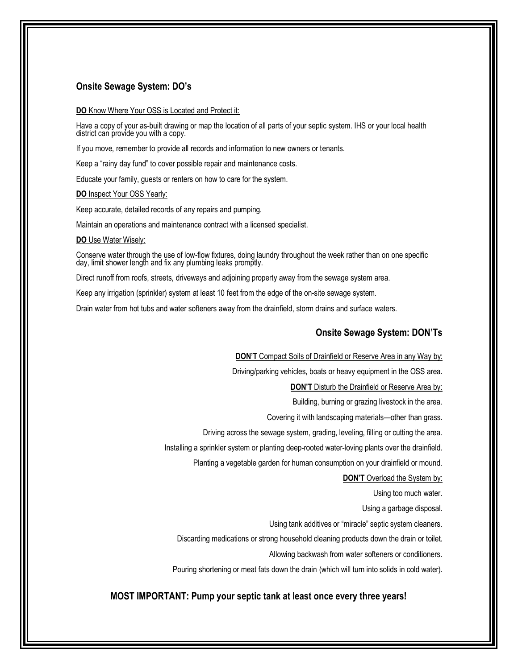#### **Onsite Sewage System: DO's**

#### **DO** Know Where Your OSS is Located and Protect it:

Have a copy of your as-built drawing or map the location of all parts of your septic system. IHS or your local health district can provide you with a copy.

If you move, remember to provide all records and information to new owners or tenants.

Keep a "rainy day fund" to cover possible repair and maintenance costs.

Educate your family, guests or renters on how to care for the system.

**DO** Inspect Your OSS Yearly:

Keep accurate, detailed records of any repairs and pumping.

Maintain an operations and maintenance contract with a licensed specialist.

#### **DO** Use Water Wisely:

Conserve water through the use of low-flow fixtures, doing laundry throughout the week rather than on one specific day, limit shower length and fix any plumbing leaks promptly.

Direct runoff from roofs, streets, driveways and adjoining property away from the sewage system area.

Keep any irrigation (sprinkler) system at least 10 feet from the edge of the on-site sewage system.

Drain water from hot tubs and water softeners away from the drainfield, storm drains and surface waters.

#### **Onsite Sewage System: DON'Ts**

**DON'T** Compact Soils of Drainfield or Reserve Area in any Way by:

Driving/parking vehicles, boats or heavy equipment in the OSS area.

**DON'T** Disturb the Drainfield or Reserve Area by:

Building, burning or grazing livestock in the area.

Covering it with landscaping materials—other than grass.

Driving across the sewage system, grading, leveling, filling or cutting the area.

Installing a sprinkler system or planting deep-rooted water-loving plants over the drainfield.

Planting a vegetable garden for human consumption on your drainfield or mound.

#### **DON'T** Overload the System by:

Using too much water.

Using a garbage disposal.

Using tank additives or "miracle" septic system cleaners.

Discarding medications or strong household cleaning products down the drain or toilet.

Allowing backwash from water softeners or conditioners.

Pouring shortening or meat fats down the drain (which will turn into solids in cold water).

#### **MOST IMPORTANT: Pump your septic tank at least once every three years!**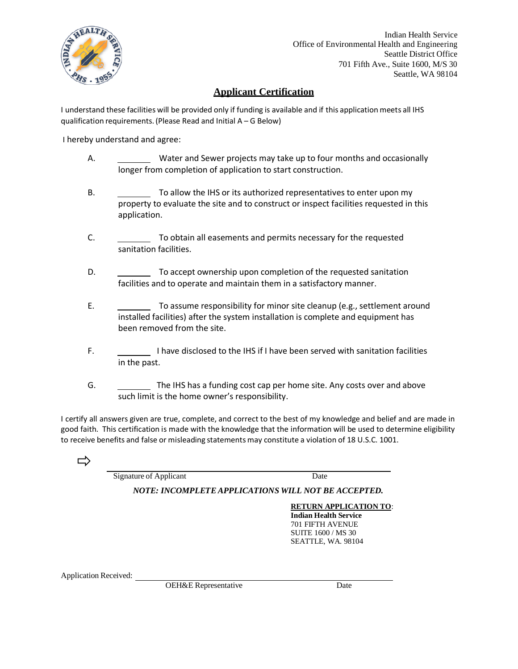

## **Applicant Certification**

I understand these facilities will be provided only if funding is available and if this application meets all IHS qualification requirements. (Please Read and Initial A – G Below)

I hereby understand and agree:

- A. Water and Sewer projects may take up to four months and occasionally longer from completion of application to start construction.
- B. To allow the IHS or its authorized representatives to enter upon my property to evaluate the site and to construct or inspect facilities requested in this application.
- C. To obtain all easements and permits necessary for the requested sanitation facilities.
- D.  $\sim$  To accept ownership upon completion of the requested sanitation facilities and to operate and maintain them in a satisfactory manner.
- E. To assume responsibility for minor site cleanup (e.g., settlement around installed facilities) after the system installation is complete and equipment has been removed from the site.
- F. **I have disclosed to the IHS if I have been served with sanitation facilities** in the past.
- G. The IHS has a funding cost cap per home site. Any costs over and above such limit is the home owner's responsibility.

I certify all answers given are true, complete, and correct to the best of my knowledge and belief and are made in good faith. This certification is made with the knowledge that the information will be used to determine eligibility to receive benefits and false or misleading statementsmay constitute a violation of 18 U.S.C. 1001.

ロ

Signature of Applicant Date

*NOTE: INCOMPLETEAPPLICATIONS WILL NOT BE ACCEPTED.*

**RETURN APPLICATION TO**:

**Indian Health Service** 701 FIFTH AVENUE SUITE 1600 / MS 30 SEATTLE, WA. 98104

Application Received:

OEH&E Representative Date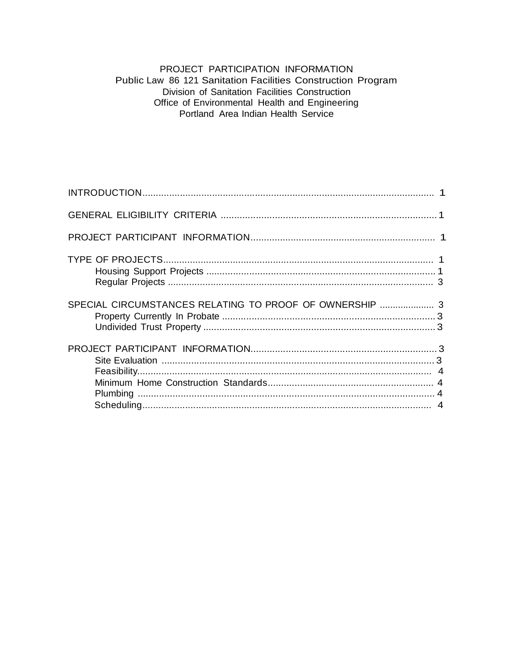## PROJECT PARTICIPATION INFORMATION Public Law 86 121 Sanitation Facilities Construction Program Division of Sanitation Facilities Construction Office of Environmental Health and Engineering<br>Portland Area Indian Health Service

| SPECIAL CIRCUMSTANCES RELATING TO PROOF OF OWNERSHIP  3 |
|---------------------------------------------------------|
|                                                         |
|                                                         |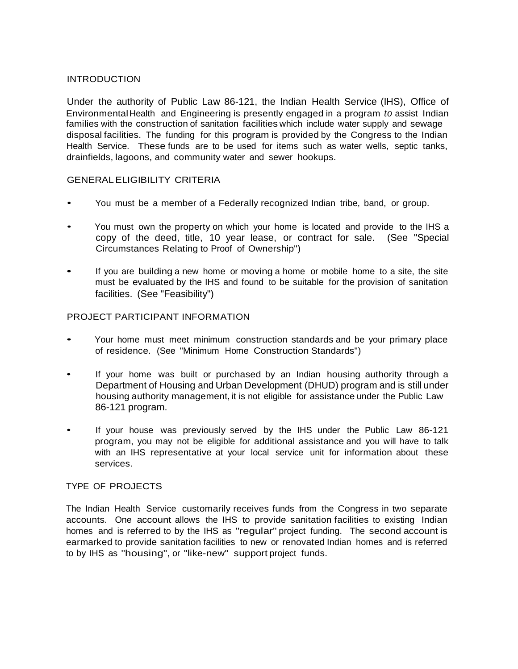### INTRODUCTION

Under the authority of Public Law 86-121, the Indian Health Service (IHS), Office of EnvironmentalHealth and Engineering is presently engaged in a program *to* assist Indian families with the construction of sanitation facilities which include water supply and sewage disposal facilities. The funding for this program is provided by the Congress to the Indian Health Service. These funds are to be used for items such as water wells, septic tanks, drainfields, lagoons, and community water and sewer hookups.

## GENERALELIGIBILITY CRITERIA

- You must be a member of a Federally recognized Indian tribe, band, or group.
- You must own the property on which your home is located and provide to the IHS a copy of the deed, title, 10 year lease, or contract for sale. (See "Special Circumstances Relating to Proof of Ownership")
- If you are building <sup>a</sup> new home or moving <sup>a</sup> home or mobile home to <sup>a</sup> site, the site must be evaluated by the IHS and found to be suitable for the provision of sanitation facilities. (See "Feasibility")

## PROJECT PARTICIPANT INFORMATION

- Your home must meet minimum construction standards and be your primary place of residence. (See "Minimum Home Construction Standards")
- If your home was built or purchased by an Indian housing authority through a Department of Housing and Urban Development (DHUD) program and is still under housing authority management, it is not eligible for assistance under the Public Law 86-121 program.
- If your house was previously served by the IHS under the Public Law 86-121 program, you may not be eligible for additional assistance and you will have to talk with an IHS representative at your local service unit for information about these services.

### TYPE OF PROJECTS

The Indian Health Service customarily receives funds from the Congress in two separate accounts. One account allows the IHS to provide sanitation facilities to existing Indian homes and is referred to by the IHS as "regular" project funding. The second account is earmarked to provide sanitation facilities to new or renovated Indian homes and is referred to by IHS as "housing", or "like-new" support project funds.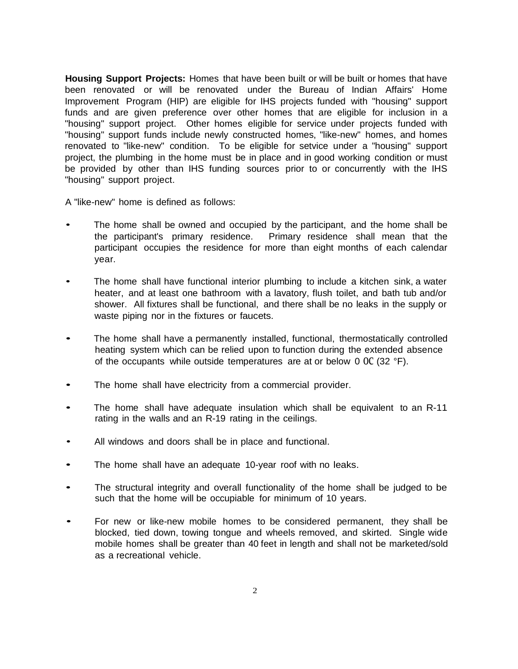**Housing Support Projects:** Homes that have been built or will be built or homes that have been renovated or will be renovated under the Bureau of Indian Affairs' Home Improvement Program (HIP) are eligible for IHS projects funded with "housing" support funds and are given preference over other homes that are eligible for inclusion in a "housing" support project. Other homes eligible for service under projects funded with "housing" support funds include newly constructed homes, "like-new" homes, and homes renovated to "like-new" condition. To be eligible for setvice under a "housing" support project, the plumbing in the home must be in place and in good working condition or must be provided by other than IHS funding sources prior to or concurrently with the IHS "housing" support project.

A "like-new" home is defined as follows:

- The home shall be owned and occupied by the participant, and the home shall be the participant's primary residence. Primary residence shall mean that the participant occupies the residence for more than eight months of each calendar year.
- The home shall have functional interior plumbing to include a kitchen sink, a water heater, and at least one bathroom with a lavatory, flush toilet, and bath tub and/or shower. All fixtures shall be functional, and there shall be no leaks in the supply or waste piping nor in the fixtures or faucets.
- The home shall have a permanently installed, functional, thermostatically controlled heating system which can be relied upon to function during the extended absence of the occupants while outside temperatures are at or below 0  $0C$  (32 °F).
- The home shall have electricity from a commercial provider.
- The home shall have adequate insulation which shall be equivalent to an R-11 rating in the walls and an R-19 rating in the ceilings.
- All windows and doors shall be in place and functional.
- The home shall have an adequate 10-year roof with no leaks.
- The structural integrity and overall functionality of the home shall be judged to be such that the home will be occupiable for minimum of 10 years.
- For new or like-new mobile homes to be considered permanent, they shall be blocked, tied down, towing tongue and wheels removed, and skirted. Single wide mobile homes shall be greater than 40 feet in length and shall not be marketed/sold as a recreational vehicle.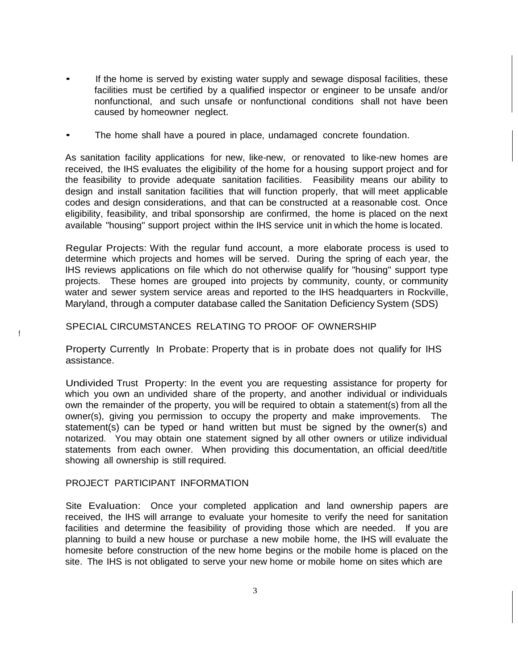- If the home is served by existing water supply and sewage disposal facilities, these facilities must be certified by a qualified inspector or engineer to be unsafe and/or nonfunctional, and such unsafe or nonfunctional conditions shall not have been caused by homeowner neglect.
- The home shall have a poured in place, undamaged concrete foundation.

As sanitation facility applications for new, like-new, or renovated to like-new homes are received, the IHS evaluates the eligibility of the home for a housing support project and for the feasibility to provide adequate sanitation facilities. Feasibility means our ability to design and install sanitation facilities that will function properly, that will meet applicable codes and design considerations, and that can be constructed at a reasonable cost. Once eligibility, feasibility, and tribal sponsorship are confirmed, the home is placed on the next available "housing" support project within the IHS service unit in which the home is located.

Regular Projects: With the regular fund account, a more elaborate process is used to determine which projects and homes will be served. During the spring of each year, the IHS reviews applications on file which do not otherwise qualify for "housing" support type projects. These homes are grouped into projects by community, county, or community water and sewer system service areas and reported to the IHS headquarters in Rockville, Maryland, through a computer database called the Sanitation Deficiency System (SDS)

#### SPECIAL CIRCUMSTANCES RELATING TO PROOF OF OWNERSHIP

Property Currently In Probate: Property that is in probate does not qualify for IHS assistance.

Undivided Trust Property: In the event you are requesting assistance for property for which you own an undivided share of the property, and another individual or individuals own the remainder of the property, you will be required to obtain a statement(s) from all the owner(s), giving you permission to occupy the property and make improvements. The statement(s) can be typed or hand written but must be signed by the owner(s) and notarized. You may obtain one statement signed by all other owners or utilize individual statements from each owner. When providing this documentation, an official deed/title showing all ownership is still required.

#### PROJECT PARTICIPANT INFORMATION

f

Site Evaluation: Once your completed application and land ownership papers are received, the IHS will arrange to evaluate your homesite to verify the need for sanitation facilities and determine the feasibility of providing those which are needed. If you are planning to build a new house or purchase a new mobile home, the IHS will evaluate the homesite before construction of the new home begins or the mobile home is placed on the site. The IHS is not obligated to serve your new home or mobile home on sites which are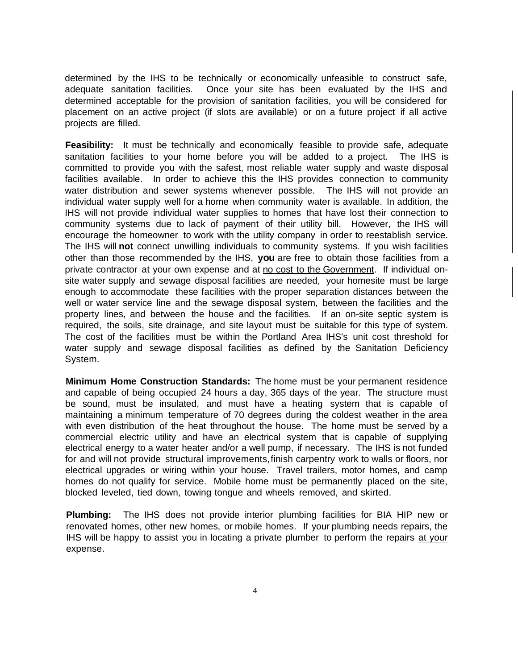determined by the IHS to be technically or economically unfeasible to construct safe, adequate sanitation facilities. Once your site has been evaluated by the IHS and determined acceptable for the provision of sanitation facilities, you will be considered for placement on an active project (if slots are available) or on a future project if all active projects are filled.

**Feasibility:** It must be technically and economically feasible to provide safe, adequate sanitation facilities to your home before you will be added to a project. The IHS is committed to provide you with the safest, most reliable water supply and waste disposal facilities available. In order to achieve this the IHS provides connection to community water distribution and sewer systems whenever possible. The IHS will not provide an individual water supply well for a home when community water is available. In addition, the IHS will not provide individual water supplies to homes that have lost their connection to community systems due to lack of payment of their utility bill. However, the IHS will encourage the homeowner to work with the utility company in order to reestablish service. The IHS will **not** connect unwilling individuals to community systems. If you wish facilities other than those recommended by the IHS, **you** are free to obtain those facilities from a private contractor at your own expense and at no cost to the Government. If individual onsite water supply and sewage disposal facilities are needed, your homesite must be large enough to accommodate these facilities with the proper separation distances between the well or water service line and the sewage disposal system, between the facilities and the property lines, and between the house and the facilities. If an on-site septic system is required, the soils, site drainage, and site layout must be suitable for this type of system. The cost of the facilities must be within the Portland Area IHS's unit cost threshold for water supply and sewage disposal facilities as defined by the Sanitation Deficiency System.

**Minimum Home Construction Standards:** The home must be your permanent residence and capable of being occupied 24 hours a day, 365 days of the year. The structure must be sound, must be insulated, and must have a heating system that is capable of maintaining a minimum temperature of 70 degrees during the coldest weather in the area with even distribution of the heat throughout the house. The home must be served by a commercial electric utility and have an electrical system that is capable of supplying electrical energy to a water heater and/or a well pump, if necessary. The IHS is not funded for and will not provide structural improvements,finish carpentry work to walls or floors, nor electrical upgrades or wiring within your house. Travel trailers, motor homes, and camp homes do not qualify for service. Mobile home must be permanently placed on the site, blocked leveled, tied down, towing tongue and wheels removed, and skirted.

**Plumbing:** The IHS does not provide interior plumbing facilities for BIA HIP new or renovated homes, other new homes, or mobile homes. If your plumbing needs repairs, the IHS will be happy to assist you in locating a private plumber to perform the repairs at your expense.